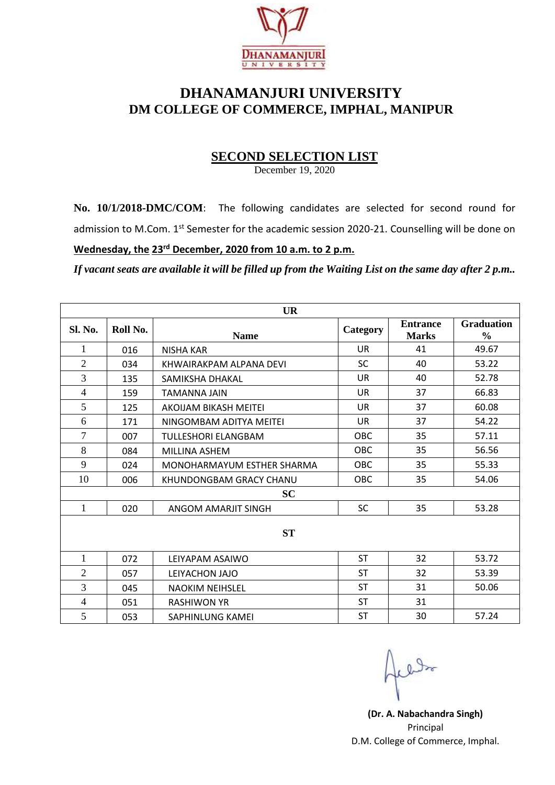

## **DHANAMANJURI UNIVERSITY DM COLLEGE OF COMMERCE, IMPHAL, MANIPUR**

## **SECOND SELECTION LIST**

December 19, 2020

**No. 10/1/2018-DMC/COM**: The following candidates are selected for second round for admission to M.Com. 1<sup>st</sup> Semester for the academic session 2020-21. Counselling will be done on

## **Wednesday, the 23rd December, 2020 from 10 a.m. to 2 p.m.**

*If vacant seats are available it will be filled up from the Waiting List on the same day after 2 p.m..*

| <b>UR</b>      |          |                            |            |                                 |                                    |  |  |  |
|----------------|----------|----------------------------|------------|---------------------------------|------------------------------------|--|--|--|
| <b>Sl. No.</b> | Roll No. | <b>Name</b>                | Category   | <b>Entrance</b><br><b>Marks</b> | <b>Graduation</b><br>$\frac{0}{0}$ |  |  |  |
| 1              | 016      | <b>NISHA KAR</b>           | UR.        | 41                              | 49.67                              |  |  |  |
| $\overline{2}$ | 034      | KHWAIRAKPAM ALPANA DEVI    | <b>SC</b>  | 40                              | 53.22                              |  |  |  |
| 3              | 135      | SAMIKSHA DHAKAL            | <b>UR</b>  | 40                              | 52.78                              |  |  |  |
| $\overline{4}$ | 159      | TAMANNA JAIN               | <b>UR</b>  | 37                              | 66.83                              |  |  |  |
| 5              | 125      | AKOIJAM BIKASH MEITEI      | <b>UR</b>  | 37                              | 60.08                              |  |  |  |
| 6              | 171      | NINGOMBAM ADITYA MEITEI    | <b>UR</b>  | 37                              | 54.22                              |  |  |  |
| $\overline{7}$ | 007      | TULLESHORI ELANGBAM        | <b>OBC</b> | 35                              | 57.11                              |  |  |  |
| 8              | 084      | MILLINA ASHEM              | <b>OBC</b> | 35                              | 56.56                              |  |  |  |
| 9              | 024      | MONOHARMAYUM ESTHER SHARMA | OBC        | 35                              | 55.33                              |  |  |  |
| 10             | 006      | KHUNDONGBAM GRACY CHANU    | <b>OBC</b> | 35                              | 54.06                              |  |  |  |
| <b>SC</b>      |          |                            |            |                                 |                                    |  |  |  |
| $\mathbf{1}$   | 020      | ANGOM AMARIIT SINGH        | <b>SC</b>  | 35                              | 53.28                              |  |  |  |
| <b>ST</b>      |          |                            |            |                                 |                                    |  |  |  |
| 1              | 072      | LEIYAPAM ASAIWO            | <b>ST</b>  | 32                              | 53.72                              |  |  |  |
| $\mathfrak{2}$ | 057      | LEIYACHON JAJO             | <b>ST</b>  | 32                              | 53.39                              |  |  |  |
| 3              | 045      | <b>NAOKIM NEIHSLEL</b>     | ST         | 31                              | 50.06                              |  |  |  |
| $\overline{4}$ | 051      | <b>RASHIWON YR</b>         | <b>ST</b>  | 31                              |                                    |  |  |  |
| 5              | 053      | SAPHINLUNG KAMEI           | <b>ST</b>  | 30                              | 57.24                              |  |  |  |

**(Dr. A. Nabachandra Singh)** Principal D.M. College of Commerce, Imphal.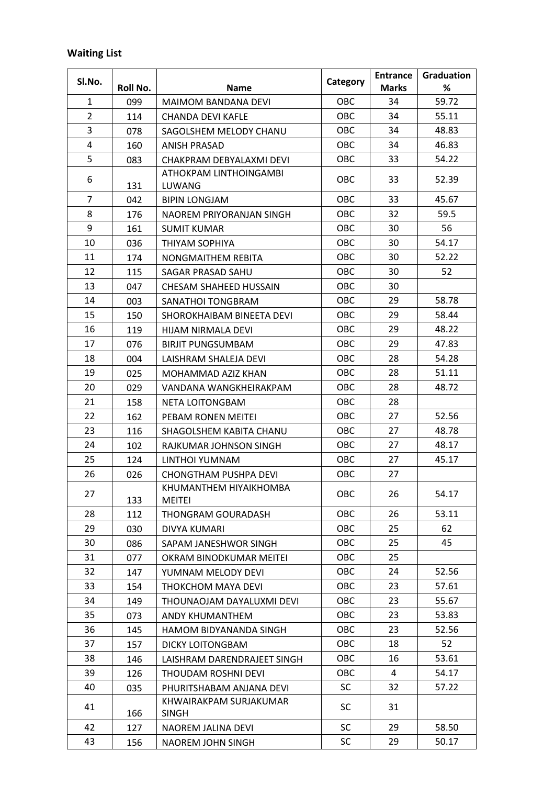## **Waiting List**

| Sl.No.         | Roll No. | <b>Name</b>                            | Category   | <b>Entrance</b><br><b>Marks</b> | Graduation<br>% |
|----------------|----------|----------------------------------------|------------|---------------------------------|-----------------|
| 1              | 099      | <b>MAIMOM BANDANA DEVI</b>             | OBC        | 34                              | 59.72           |
| $\overline{2}$ | 114      | <b>CHANDA DEVI KAFLE</b>               | OBC        | 34                              | 55.11           |
| 3              | 078      | SAGOLSHEM MELODY CHANU                 | <b>OBC</b> | 34                              | 48.83           |
| 4              | 160      | <b>ANISH PRASAD</b>                    | OBC        | 34                              | 46.83           |
| 5              | 083      | CHAKPRAM DEBYALAXMI DEVI               | <b>OBC</b> | 33                              | 54.22           |
|                |          | ATHOKPAM LINTHOINGAMBI                 |            |                                 |                 |
| 6              | 131      | <b>LUWANG</b>                          | OBC        | 33                              | 52.39           |
| 7              | 042      | <b>BIPIN LONGJAM</b>                   | OBC        | 33                              | 45.67           |
| 8              | 176      | NAOREM PRIYORANJAN SINGH               | <b>OBC</b> | 32                              | 59.5            |
| 9              | 161      | <b>SUMIT KUMAR</b>                     | OBC        | 30                              | 56              |
| 10             | 036      | THIYAM SOPHIYA                         | OBC        | 30                              | 54.17           |
| 11             | 174      | NONGMAITHEM REBITA                     | <b>OBC</b> | 30                              | 52.22           |
| 12             | 115      | SAGAR PRASAD SAHU                      | <b>OBC</b> | 30                              | 52              |
| 13             | 047      | CHESAM SHAHEED HUSSAIN                 | <b>OBC</b> | 30                              |                 |
| 14             | 003      | SANATHOI TONGBRAM                      | OBC        | 29                              | 58.78           |
| 15             | 150      | SHOROKHAIBAM BINEETA DEVI              | <b>OBC</b> | 29                              | 58.44           |
| 16             | 119      | HIJAM NIRMALA DEVI                     | OBC        | 29                              | 48.22           |
| 17             | 076      | <b>BIRJIT PUNGSUMBAM</b>               | <b>OBC</b> | 29                              | 47.83           |
| 18             | 004      | LAISHRAM SHALEJA DEVI                  | <b>OBC</b> | 28                              | 54.28           |
| 19             | 025      | MOHAMMAD AZIZ KHAN                     | OBC        | 28                              | 51.11           |
| 20             | 029      | VANDANA WANGKHEIRAKPAM                 | <b>OBC</b> | 28                              | 48.72           |
| 21             | 158      | NETA LOITONGBAM                        | OBC        | 28                              |                 |
| 22             | 162      | PEBAM RONEN MEITEI                     | <b>OBC</b> | 27                              | 52.56           |
| 23             | 116      | SHAGOLSHEM KABITA CHANU                | <b>OBC</b> | 27                              | 48.78           |
| 24             | 102      | RAJKUMAR JOHNSON SINGH                 | OBC        | 27                              | 48.17           |
| 25             | 124      | LINTHOI YUMNAM                         | <b>OBC</b> | 27                              | 45.17           |
| 26             | 026      | <b>CHONGTHAM PUSHPA DEVI</b>           | <b>OBC</b> | 27                              |                 |
|                |          | KHUMANTHEM HIYAIKHOMBA                 |            |                                 |                 |
| 27             | 133      | <b>MEITEI</b>                          | OBC        | 26                              | 54.17           |
| 28             | 112      | <b>THONGRAM GOURADASH</b>              | OBC        | 26                              | 53.11           |
| 29             | 030      | <b>DIVYA KUMARI</b>                    | <b>OBC</b> | 25                              | 62              |
| 30             | 086      | SAPAM JANESHWOR SINGH                  | OBC        | 25                              | 45              |
| 31             | 077      | OKRAM BINODKUMAR MEITEI                | OBC        | 25                              |                 |
| 32             | 147      | YUMNAM MELODY DEVI                     | OBC        | 24                              | 52.56           |
| 33             | 154      | THOKCHOM MAYA DEVI                     | OBC        | 23                              | 57.61           |
| 34             | 149      | THOUNAOJAM DAYALUXMI DEVI              | <b>OBC</b> | 23                              | 55.67           |
| 35             | 073      | ANDY KHUMANTHEM                        | <b>OBC</b> | 23                              | 53.83           |
| 36             | 145      | HAMOM BIDYANANDA SINGH                 | OBC        | 23                              | 52.56           |
| 37             | 157      | <b>DICKY LOITONGBAM</b>                | <b>OBC</b> | 18                              | 52              |
| 38             | 146      | LAISHRAM DARENDRAJEET SINGH            | <b>OBC</b> | 16                              | 53.61           |
| 39             | 126      | THOUDAM ROSHNI DEVI                    | OBC        | 4                               | 54.17           |
| 40             | 035      | PHURITSHABAM ANJANA DEVI               | <b>SC</b>  | 32                              | 57.22           |
| 41             | 166      | KHWAIRAKPAM SURJAKUMAR<br><b>SINGH</b> | SC         | 31                              |                 |
| 42             | 127      | NAOREM JALINA DEVI                     | <b>SC</b>  | 29                              | 58.50           |
| 43             | 156      | NAOREM JOHN SINGH                      | <b>SC</b>  | 29                              | 50.17           |